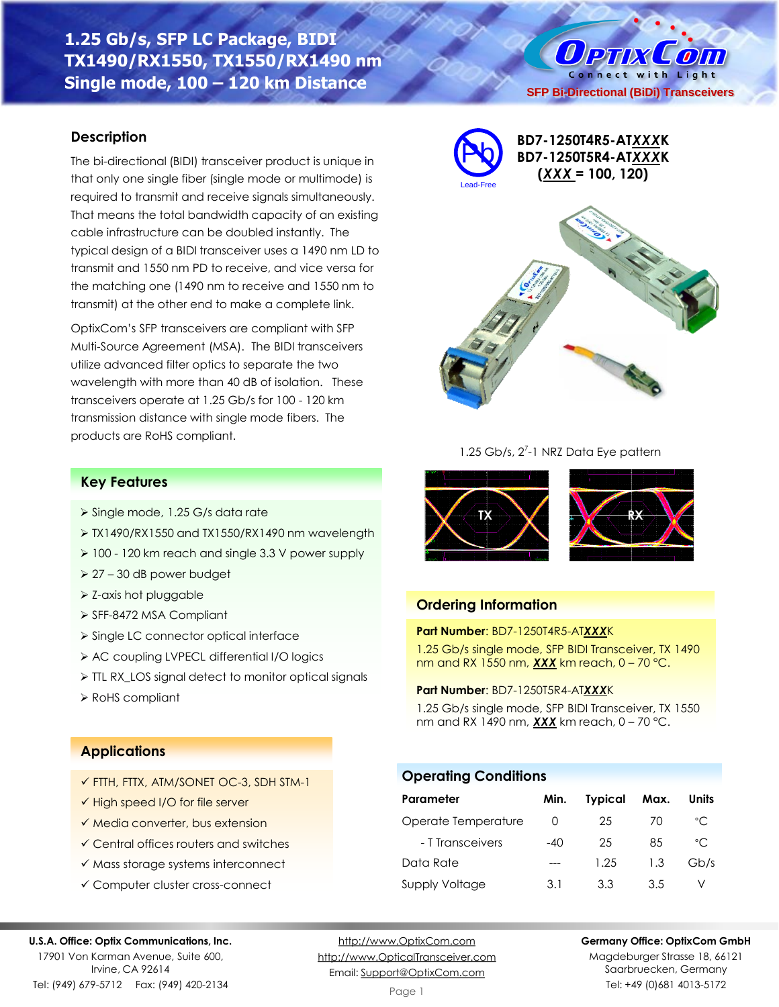**1.25 Gb/s, SFP LC Package, BIDI TX1490/RX1550, TX1550/RX1490 nm Single mode, 100 – 120 km Distance**

## **Description**

The bi-directional (BIDI) transceiver product is unique in that only one single fiber (single mode or multimode) is required to transmit and receive signals simultaneously. That means the total bandwidth capacity of an existing cable infrastructure can be doubled instantly. The typical design of a BIDI transceiver uses a 1490 nm LD to transmit and 1550 nm PD to receive, and vice versa for the matching one (1490 nm to receive and 1550 nm to transmit) at the other end to make a complete link.

OptixCom's SFP transceivers are compliant with SFP Multi-Source Agreement (MSA). The BIDI transceivers utilize advanced filter optics to separate the two wavelength with more than 40 dB of isolation. These transceivers operate at 1.25 Gb/s for 100 - 120 km transmission distance with single mode fibers. The products are RoHS compliant.

➢ TX1490/RX1550 and TX1550/RX1490 nm wavelength ➢ 100 - 120 km reach and single 3.3 V power supply

➢ TTL RX\_LOS signal detect to monitor optical signals



Lead-Free

**BD7-1250T4R5-AT***XXX***K BD7-1250T5R4-AT***XXX***K (***XXX* **= 100, 120)**

**SFP Bi-Directional (BiDi) Transceivers**

O PTIX COIN Connect with Light



### 1.25 Gb/s, 2<sup>7</sup>-1 NRZ Data Eye pattern



## **Ordering Information**

**Operating Conditions**

### **Part Number**: BD7-1250T4R5-AT*XXX*K

1.25 Gb/s single mode, SFP BIDI Transceiver, TX 1490 nm and RX 1550 nm, *XXX* km reach, 0 – 70 °C.

### **Part Number**: BD7-1250T5R4-AT*XXX*K

1.25 Gb/s single mode, SFP BIDI Transceiver, TX 1550 nm and RX 1490 nm, *XXX* km reach, 0 – 70 °C.

**Parameter Min. Typical Max. Units** Operate Temperature 0 25 70 °C - T Transceivers -40 25 85 °C Data Rate --- 1.25 1.3 Gb/s Supply Voltage 3.1 3.3 3.5 V

# **Applications**

➢ RoHS compliant

**Key Features**

➢ Single mode, 1.25 G/s data rate

➢ 27 – 30 dB power budget ➢ Z-axis hot pluggable ➢ SFF-8472 MSA Compliant

✓ FTTH, FTTX, ATM/SONET OC-3, SDH STM-1

➢ Single LC connector optical interface ➢ AC coupling LVPECL differential I/O logics

- ✓ High speed I/O for file server
- ✓ Media converter, bus extension
- ✓ Central offices routers and switches
- ✓ Mass storage systems interconnect
- ✓ Computer cluster cross-connect

#### **U.S.A. Office: Optix Communications, Inc.**

17901 Von Karman Avenue, Suite 600, Irvine, CA 92614 Tel: (949) 679-5712 Fax: (949) 420-2134

[http://www.OptixCom.com](http://www.optixcom.com/) [http://www.OpticalTransceiver.com](http://www.optoictech.com/) Email: [Support@OptixCom.com](mailto:Support@optoICtech.com)

Page 1

### **Germany Office: OptixCom GmbH**

Magdeburger Strasse 18, 66121 Saarbruecken, Germany Tel: +49 (0)681 4013-5172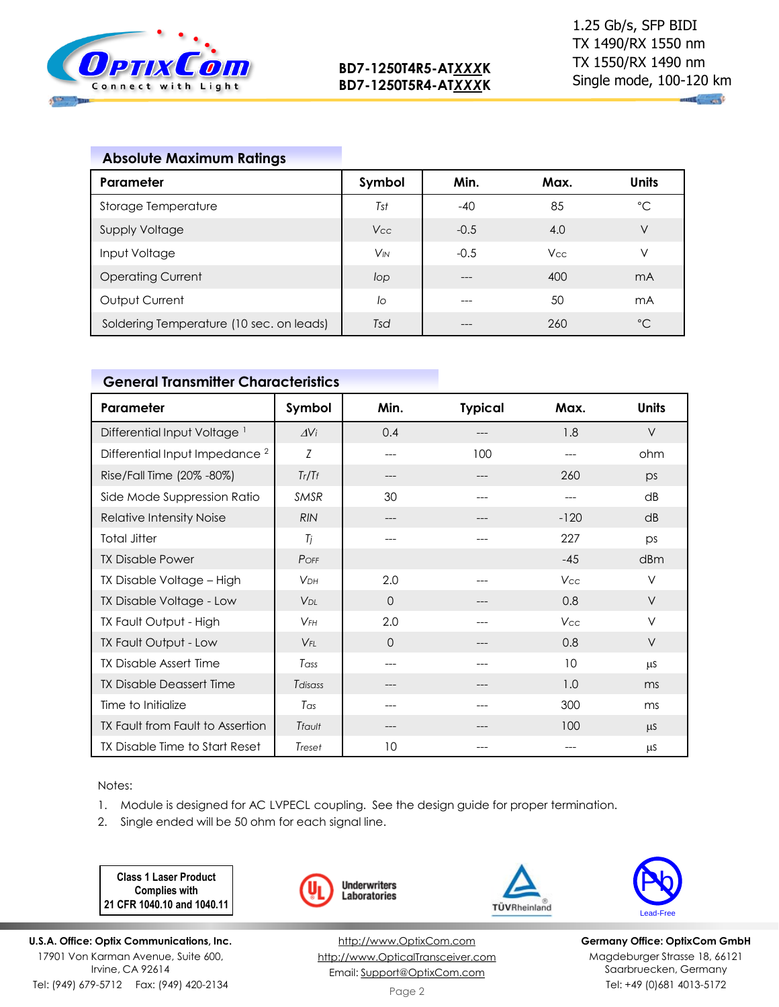

## **Absolute Maximum Ratings**

| <b>Parameter</b>                         | Symbol                | Min.   | Max.       | <b>Units</b>   |
|------------------------------------------|-----------------------|--------|------------|----------------|
| Storage Temperature                      | Tst                   | $-40$  | 85         | $^{\circ}C$    |
| <b>Supply Voltage</b>                    | Vcc                   | $-0.5$ | 4.0        | ٧              |
| Input Voltage                            | <b>V<sub>IN</sub></b> | $-0.5$ | <b>Vcc</b> | ٧              |
| <b>Operating Current</b>                 | lop                   | ---    | 400        | mA             |
| Output Current                           | lo                    | ---    | 50         | m <sub>A</sub> |
| Soldering Temperature (10 sec. on leads) | Tsd                   |        | 260        | $^{\circ}C$    |

## **General Transmitter Characteristics**

| Parameter                                 | Symbol                | Min.     | <b>Typical</b> | Max.   | <b>Units</b> |
|-------------------------------------------|-----------------------|----------|----------------|--------|--------------|
| Differential Input Voltage <sup>1</sup>   | $\Delta$ Vi           | 0.4      | ---            | 1.8    | $\vee$       |
| Differential Input Impedance <sup>2</sup> | Z                     | ---      | 100            |        | ohm          |
| Rise/Fall Time (20% -80%)                 | Tr/Tr                 | ---      | ---            | 260    | ps           |
| Side Mode Suppression Ratio               | <b>SMSR</b>           | 30       |                |        | dB           |
| Relative Intensity Noise                  | <b>RIN</b>            | ---      | ---            | $-120$ | dB           |
| <b>Total Jitter</b>                       | Tj                    | $---$    | $---$          | 227    | ps           |
| <b>TX Disable Power</b>                   | $P$ OFF               |          |                | $-45$  | dBm          |
| TX Disable Voltage - High                 | <b>V<sub>DH</sub></b> | 2.0      |                | Vcc    | ν            |
| TX Disable Voltage - Low                  | $V_{DI}$              | $\Omega$ |                | 0.8    | $\vee$       |
| TX Fault Output - High                    | $V$ FH                | 2.0      |                | Vcc    | $\vee$       |
| TX Fault Output - Low                     | $V_{FI}$              | $\Omega$ | ---            | 0.8    | V            |
| <b>TX Disable Assert Time</b>             | Tass                  | ---      | ---            | 10     | μS           |
| <b>TX Disable Deassert Time</b>           | Tdisass               | ---      | ---            | 1.0    | ms           |
| Time to Initialize                        | Tas                   | ---      | ---            | 300    | ms           |
| TX Fault from Fault to Assertion          | Tfault                | ---      |                | 100    | μS           |
| TX Disable Time to Start Reset            | Treset                | 10       |                |        | μS           |

Notes:

- 1. Module is designed for AC LVPECL coupling. See the design guide for proper termination.
- 2. Single ended will be 50 ohm for each signal line.

**Class 1 Laser Product Complies with 21 CFR 1040.10 and 1040.11**

**U.S.A. Office: Optix Communications, Inc.** 17901 Von Karman Avenue, Suite 600, Irvine, CA 92614 Tel: (949) 679-5712 Fax: (949) 420-2134





TÜVRheinland



**Germany Office: OptixCom GmbH** Magdeburger Strasse 18, 66121 Saarbruecken, Germany Tel: +49 (0)681 4013-5172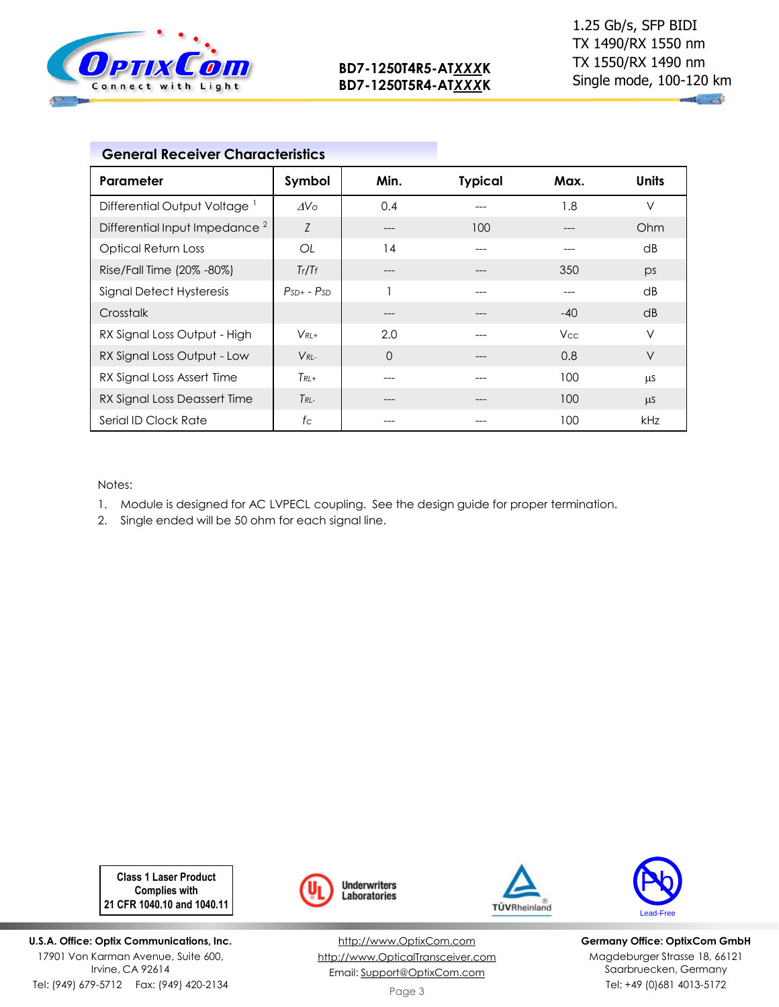

**ALL STRE** 

| Parameter                                 | Symbol          | Min.     | <b>Typical</b> | Max.       | <b>Units</b> |
|-------------------------------------------|-----------------|----------|----------------|------------|--------------|
| Differential Output Voltage <sup>1</sup>  | AV <sub>O</sub> | 0.4      |                | 1.8        | ν            |
| Differential Input Impedance <sup>2</sup> | Z               | ---      | 100            |            | Ohm          |
| Optical Return Loss                       | OL              | 14       |                |            | dB           |
| Rise/Fall Time (20% -80%)                 | Tr/Tr           |          |                | 350        | ps           |
| Signal Detect Hysteresis                  | $PsD + - PSD$   |          |                | $---$      | dB           |
| Crosstalk                                 |                 | ---      |                | $-40$      | dB           |
| RX Signal Loss Output - High              | $V_{RI+}$       | 2.0      |                | <b>Vcc</b> | ν            |
| RX Signal Loss Output - Low               | $V_{RI}$        | $\Omega$ |                | 0.8        | V            |
| RX Signal Loss Assert Time                | $T_{RI}$ +      | ---      |                | 100        | μS           |
| RX Signal Loss Deassert Time              | $T_{RL}$        | ---      |                | 100        | μS           |
| Serial ID Clock Rate                      | $f_{\rm C}$     | ---      |                | 100        | <b>kHz</b>   |

Notes:

1. Module is designed for AC LVPECL coupling. See the design guide for proper termination.

2. Single ended will be 50 ohm for each signal line.

**Class 1 Laser Product Complies with 21 CFR 1040.10 and 1040.11**

**U.S.A. Office: Optix Communications, Inc.** 17901 Von Karman Avenue, Suite 600, Irvine, CA 92614 Tel: (949) 679-5712 Fax: (949) 420-2134



[http://www.OptixCom.com](http://www.optixcom.com/) [http://www.OpticalTransceiver.com](http://www.optoictech.com/) Email: [Support@OptixCom.com](mailto:Support@optoICtech.com)





**Germany Office: OptixCom GmbH** Magdeburger Strasse 18, 66121 Saarbruecken, Germany Tel: +49 (0)681 4013-5172